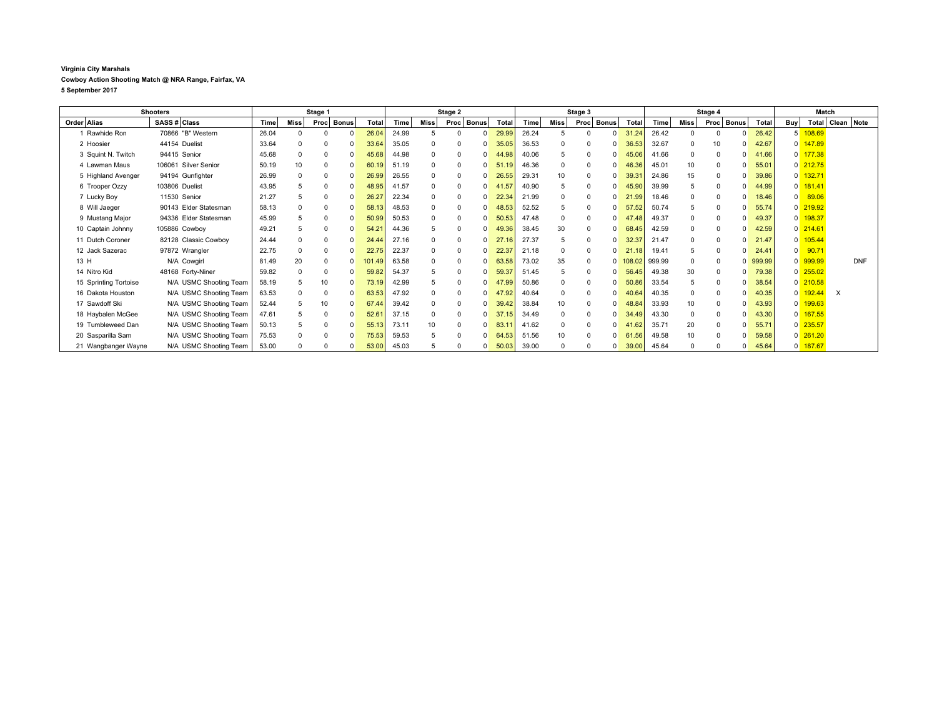## **Virginia City Marshals Cowboy Action Shooting Match @ NRA Range, Fairfax, VA**

**5 September 2017**

| <b>Shooters</b>       |                        | Stage 1 |              |                      |            | Stage 2 |          |             | Stage 3           |       |          | Stage 4              |           |        |          | Match                       |        |                         |            |          |                      |
|-----------------------|------------------------|---------|--------------|----------------------|------------|---------|----------|-------------|-------------------|-------|----------|----------------------|-----------|--------|----------|-----------------------------|--------|-------------------------|------------|----------|----------------------|
| Order Alias           | SASS # Class           | Time    | <b>Miss</b>  | Proc<br><b>Bonus</b> | Total      | Time    | Miss     | Proc Bonus  | Total             | Time  | Miss     | Proc<br><b>Bonus</b> | Total     | Time   | Miss     | Proc<br><b>Bonus</b>        | Total  | Buy                     |            |          | Total   Clean   Note |
| 1 Rawhide Ron         | 70866 "B" Western      | 26.04   |              |                      | 26.04      | 24.99   | 5        | $\Omega$    | 29.99<br>$\Omega$ | 26.24 |          |                      | 31.24     | 26.42  |          | $\Omega$                    | 26.42  | 5                       | 108.69     |          |                      |
| 2 Hoosier             | 44154 Duelist          | 33.64   |              |                      | 33.64      | 35.05   | 0        |             | 35.05             | 36.53 |          |                      | 36.53     | 32.67  |          | 10                          | 42.67  | 0                       | 147.89     |          |                      |
| 3 Squint N. Twitch    | 94415 Senior           | 45.68   |              | $\mathbf 0$          | 45.68      | 44.98   | $\Omega$ |             | 44.98             | 40.06 |          | $\Omega$             | 45.06     | 41.66  |          | 0                           | 41.66  |                         | 0 177.38   |          |                      |
| 4 Lawman Maus         | 106061 Silver Senior   | 50.19   | 10           | 0                    | 60.19      | 51.19   | $\Omega$ | $\mathbf 0$ | 51.19             | 46.36 | 0        | $\Omega$             | 46.36     | 45.01  | 10       | 0<br>0                      | 55.01  |                         | $0$ 212.75 |          |                      |
| 5 Highland Avenger    | 94194 Gunfighter       | 26.99   |              |                      | 26.99      | 26.55   | $\Omega$ | $\Omega$    | 26.55             | 29.31 |          |                      | 39.3      | 24.86  | 15       |                             | 39.86  | $\overline{0}$          | 132.71     |          |                      |
| 6 Trooper Ozzy        | 103806 Duelist         | 43.95   |              | $\mathbf 0$          | 48.95      | 41.57   | 0        | 0           | 41.57             | 40.90 | 5        | $\Omega$             | 45.90     | 39.99  |          | 0                           | 44.99  | 0                       | 181.41     |          |                      |
| 7 Lucky Boy           | 11530 Senior           | 21.27   | $\mathbf{b}$ | $\mathbf 0$          | 26.27      | 22.34   | $\Omega$ | $\Omega$    | 22.34             | 21.99 |          | $\Omega$             | 21.99     | 18.46  |          | $\mathbf 0$                 | 18.46  | $\overline{0}$          | 89.06      |          |                      |
| 8 Will Jaeger         | 90143 Elder Statesman  | 58.13   |              |                      | 58.13      | 48.53   | $\Omega$ | O           | 48.53             | 52.52 |          | $\Omega$             | 57.52     | 50.74  |          | $\Omega$<br><sup>0</sup>    | 55.74  |                         | $0$ 219.92 |          |                      |
| 9 Mustang Major       | 94336 Elder Statesman  | 45.99   |              |                      | 50.99      | 50.53   | $\Omega$ | $\Omega$    | 50.53             | 47.48 |          | $\Omega$             | 47.48     | 49.37  | 0        | $\mathbf 0$                 | 49.37  | $\Omega$                | 198.37     |          |                      |
| 10 Captain Johnny     | 105886 Cowboy          | 49.21   |              |                      | 54.2       | 44.36   | 5        | 0           | 49.36             | 38.45 | 30       | 0                    | 68.45     | 42.59  |          | 0                           | 42.59  |                         | $0$ 214.61 |          |                      |
| 11 Dutch Coroner      | 82128 Classic Cowboy   | 24.44   |              | $\Omega$             | 24.44      | 27.16   | $\Omega$ | $\Omega$    | 27.16             | 27.37 |          | $\Omega$             | 32.37     | 21.47  | $\Omega$ | $\Omega$                    | 21.47  | $\overline{\mathbf{0}}$ | 105.44     |          |                      |
| 12 Jack Sazerac       | 97872 Wrangler         | 22.75   |              | 0                    | 22.75      | 22.37   | $\Omega$ | $\mathbf 0$ | 22.37             | 21.18 |          | $\Omega$             | 21.18     | 19.41  |          | 0<br><sup>0</sup>           | 24.41  | $\Omega$                | 90.71      |          |                      |
| 13 H                  | N/A Cowgirl            | 81.49   | 20           | 0                    | 101.<br>49 | 63.58   | $\Omega$ | 0           | 63.58             | 73.02 | 35       | $\Omega$             | 108.02    | 999.99 |          |                             | 999.99 |                         | 0 999.99   |          | <b>DNF</b>           |
| 14 Nitro Kid          | 48168 Forty-Niner      | 59.82   |              | $\mathbf 0$          | 59.82      | 54.37   | 5        | $\Omega$    | 59.37             | 51.45 | 5        | $\Omega$             | 56.45     | 49.38  | 30       | $\mathbf 0$                 | 79.38  |                         | $0$ 255.02 |          |                      |
| 15 Sprinting Tortoise | N/A USMC Shooting Team | 58.19   |              | 10                   | 73.19      | 42.99   | 5        | $\Omega$    | 47.99             | 50.86 | 0        | $\Omega$             | 50.86     | 33.54  |          | $\Omega$<br>$\Omega$        | 38.54  |                         | $0$ 210.58 |          |                      |
| 16 Dakota Houston     | N/A USMC Shooting Team | 63.53   |              |                      | 63.53      | 47.92   | $\Omega$ | $\Omega$    | 47.92             | 40.64 |          |                      | 40.64     | 40.35  |          |                             | 40.35  | $\Omega$                | 192.44     | $\times$ |                      |
| 17 Sawdoff Ski        | N/A USMC Shooting Team | 52.44   |              | 10                   | 67.44      | 39.42   | 0        | 0           | 39.42             | 38.84 | 10       | $\Omega$             | 48.84     | 33.93  | 10       | $\mathbf 0$                 | 43.93  | 0                       | 199.63     |          |                      |
| 18 Haybalen McGee     | N/A USMC Shooting Team | 47.61   |              | $\Omega$             | 52.61      | 37.15   | $\Omega$ | $\Omega$    | 37<br>.15         | 34.49 |          | $\Omega$             | 34.49     | 43.30  |          | $\mathbf 0$<br><sup>0</sup> | 43.30  | $\Omega$                | 167.55     |          |                      |
| 19 Tumbleweed Dan     | N/A USMC Shooting Team | 50.13   |              | $\Omega$             | 55.13      | 73.11   | 10       | $\Omega$    | 83.11             | 41.62 | $\Omega$ | $\Omega$             | 41.62     | 35.71  | 20       | $\Omega$<br><sup>0</sup>    | 55.71  |                         | $0$ 235.57 |          |                      |
| 20 Sasparilla Sam     | N/A USMC Shooting Team | 75.53   |              |                      | 75.53      | 59.53   | 5        | $\Omega$    | 64.53             | 51.56 |          | $\Omega$             | 61<br>.56 | 49.58  | 10       |                             | 59.58  |                         | $0$ 261.20 |          |                      |
| 21 Wangbanger Wayne   | N/A USMC Shooting Team | 53.00   |              |                      | 53.00      | 45.03   |          |             | 50.03             | 39.00 |          |                      | 39.00     | 45.64  |          |                             | 45.64  | U                       | 187.67     |          |                      |